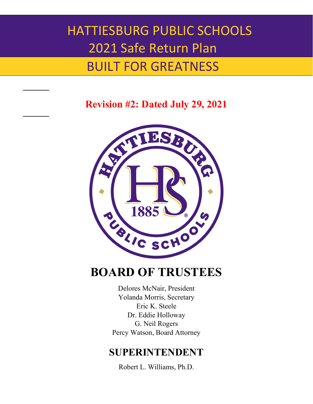### BUILT FOR GREATNESS

**Revision #2: Dated July 29, 2021**



### **BOARD OF TRUSTEES**

Delores McNair, President Yolanda Morris, Secretary Eric K. Steele Dr. Eddie Holloway G. Neil Rogers Percy Watson, Board Attorney

### **SUPERINTENDENT**

Robert L. Williams, Ph.D.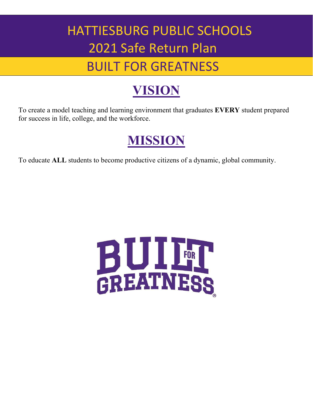## BUILT FOR GREATNESS

## **VISION**

To create a model teaching and learning environment that graduates **EVERY** student prepared for success in life, college, and the workforce.

## **MISSION**

To educate **ALL** students to become productive citizens of a dynamic, global community.

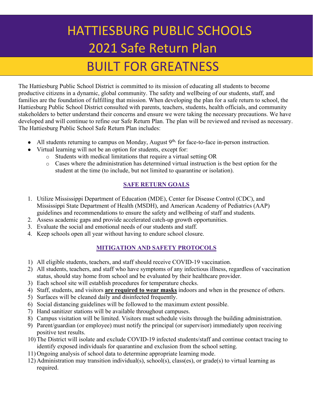### BUILT FOR GREATNESS

The Hattiesburg Public School District is committed to its mission of educating all students to become productive citizens in a dynamic, global community. The safety and wellbeing of our students, staff, and families are the foundation of fulfilling that mission. When developing the plan for a safe return to school, the Hattiesburg Public School District consulted with parents, teachers, students, health officials, and community stakeholders to better understand their concerns and ensure we were taking the necessary precautions. We have developed and will continue to refine our Safe Return Plan. The plan will be reviewed and revised as necessary. The Hattiesburg Public School Safe Return Plan includes:

- All students returning to campus on Monday, August 9<sup>th,</sup> for face-to-face in-person instruction.
	- Virtual learning will not be an option for students, except for:
		- o Students with medical limitations that require a virtual setting OR
			- o Cases where the administration has determined virtual instruction is the best option for the student at the time (to include, but not limited to quarantine or isolation).

#### **SAFE RETURN GOALS**

- 1. Utilize Mississippi Department of Education (MDE), Center for Disease Control (CDC), and Mississippi State Department of Health (MSDH), and American Academy of Pediatrics (AAP) guidelines and recommendations to ensure the safety and wellbeing of staff and students.
- 2. Assess academic gaps and provide accelerated catch-up growth opportunities.
- 3. Evaluate the social and emotional needs of our students and staff.
- 4. Keep schools open all year without having to endure school closure.

#### **MITIGATION AND SAFETY PROTOCOLS**

- 1) All eligible students, teachers, and staff should receive COVID-19 vaccination.
- 2) All students, teachers, and staff who have symptoms of any infectious illness, regardless of vaccination status, should stay home from school and be evaluated by their healthcare provider.
- 3) Each school site will establish procedures for temperature checks.
- 4) Staff, students, and visitors **are required to wear masks** indoors and when in the presence of others.
- 5) Surfaces will be cleaned daily and disinfected frequently.
- 6) Social distancing guidelines will be followed to the maximum extent possible.
- 7) Hand sanitizer stations will be available throughout campuses.
- 8) Campus visitation will be limited. Visitors must schedule visits through the building administration.
- 9) Parent/guardian (or employee) must notify the principal (or supervisor) immediately upon receiving positive test results.
- 10) The District will isolate and exclude COVID-19 infected students/staff and continue contact tracing to identify exposed individuals for quarantine and exclusion from the school setting.
- 11) Ongoing analysis of school data to determine appropriate learning mode.
- 12) Administration may transition individual(s), school(s), class(es), or grade(s) to virtual learning as required.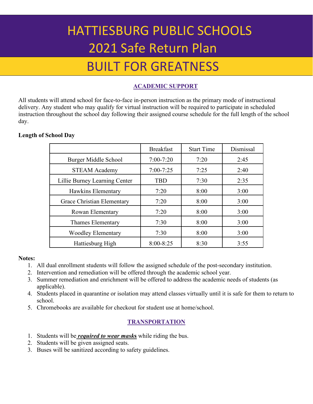### BUILT FOR GREATNESS

#### **ACADEMIC SUPPORT**

All students will attend school for face-to-face in-person instruction as the primary mode of instructional delivery. Any student who may qualify for virtual instruction will be required to participate in scheduled instruction throughout the school day following their assigned course schedule for the full length of the school day.

#### **Length of School Day**

|                               | <b>Breakfast</b> | <b>Start Time</b> | Dismissal |
|-------------------------------|------------------|-------------------|-----------|
| Burger Middle School          | $7:00-7:20$      | 7:20              | 2:45      |
| <b>STEAM Academy</b>          | $7:00 - 7:25$    | 7:25              | 2:40      |
| Lillie Burney Learning Center | <b>TBD</b>       | 7:30              | 2:35      |
| <b>Hawkins Elementary</b>     | 7:20             | 8:00              | 3:00      |
| Grace Christian Elementary    | 7:20             | 8:00              | 3:00      |
| Rowan Elementary              | 7:20             | 8:00              | 3:00      |
| Thames Elementary             | 7:30             | 8:00              | 3:00      |
| <b>Woodley Elementary</b>     | 7:30             | 8:00              | 3:00      |
| Hattiesburg High              | $8:00 - 8:25$    | 8:30              | 3:55      |

#### **Notes:**

- 1. All dual enrollment students will follow the assigned schedule of the post-secondary institution.
- 2. Intervention and remediation will be offered through the academic school year.
- 3. Summer remediation and enrichment will be offered to address the academic needs of students (as applicable).
- 4. Students placed in quarantine or isolation may attend classes virtually until it is safe for them to return to school.
- 5. Chromebooks are available for checkout for student use at home/school.

#### **TRANSPORTATION**

- 1. Students will be *required to wear mask***s** while riding the bus.
- 2. Students will be given assigned seats.
- 3. Buses will be sanitized according to safety guidelines.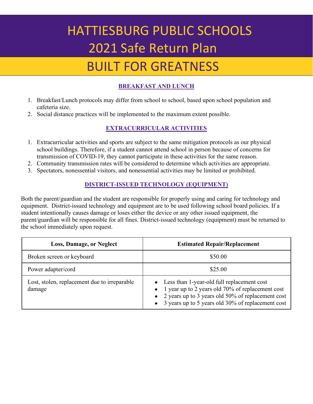## BUILT FOR GREATNESS

#### **BREAKFAST AND LUNCH**

- 1. Breakfast/Lunch protocols may differ from school to school, based upon school population and cafeteria size.
- 2. Social distance practices will be implemented to the maximum extent possible.

#### **EXTRACURRICULAR ACTIVITIES**

- 1. Extracurricular activities and sports are subject to the same mitigation protocols as our physical school buildings. Therefore, if a student cannot attend school in person because of concerns for transmission of COVID-19, they cannot participate in these activities for the same reason.
- 2. Community transmission rates will be considered to determine which activities are appropriate.
- 3. Spectators, nonessential visitors, and nonessential activities may be limited or prohibited.

#### **DISTRICT-ISSUED TECHNOLOGY (EQUIPMENT)**

Both the parent/guardian and the student are responsible for properly using and caring for technology and equipment. District-issued technology and equipment are to be used following school board policies. If a student intentionally causes damage or loses either the device or any other issued equipment, the parent/guardian will be responsible for all fines. District-issued technology (equipment) must be returned to the school immediately upon request.

| <b>Loss, Damage, or Neglect</b>                        | <b>Estimated Repair/Replacement</b>                                                                                                                                                                                                    |  |
|--------------------------------------------------------|----------------------------------------------------------------------------------------------------------------------------------------------------------------------------------------------------------------------------------------|--|
| Broken screen or keyboard                              | \$50.00                                                                                                                                                                                                                                |  |
| Power adapter/cord                                     | \$25.00                                                                                                                                                                                                                                |  |
| Lost, stolen, replacement due to irreparable<br>damage | • Less than 1-year-old full replacement cost<br>• 1 year up to 2 years old 70% of replacement cost<br>2 years up to 3 years old 50% of replacement cost<br>$\bullet$<br>3 years up to 5 years old 30% of replacement cost<br>$\bullet$ |  |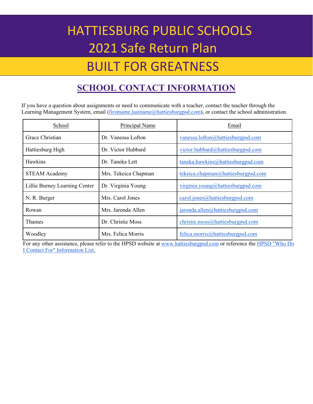### BUILT FOR GREATNESS

### **SCHOOL CONTACT INFORMATION**

If you have a question about assignments or need to communicate with a teacher, contact the teacher through the Learning Management System, email [\(firstname.lastname@hattiesburgpsd.com\)](mailto:firstname.lastname@hattiesburgpublicschools.org), or contact the school administration.

| School                        | <b>Principal Name</b> | Email                                   |
|-------------------------------|-----------------------|-----------------------------------------|
| Grace Christian               | Dr. Vanessa Lofton    | vanessa.lofton@hattiesburgpsd.com       |
| Hattiesburg High              | Dr. Victor Hubbard    | victor.hubbard@hattiesburgpsd.com       |
| Hawkins                       | Dr. Taneka Lett       | taneka.hawkins@hattiesburgpsd.com       |
| <b>STEAM Academy</b>          | Mrs. Tekeica Chapman  | tekeica.chapman@hattiesburgpsd.com      |
| Lillie Burney Learning Center | Dr. Virginia Young    | virginia.young@hattiesburgpsd.com       |
| N. R. Burger                  | Mrs. Carol Jones      | carol.jones@hattiesburgpsd.com          |
| Rowan                         | Mrs. Jaronda Allen    | $jaronda.$ allen $@$ hattiesburgpsd.com |
| Thames                        | Dr. Christie Moss     | christie.moss@hattiesburgpsd.com        |
| Woodley                       | Mrs. Felica Morris    | felica.morris@hattiesburgpsd.com        |

For any other assistance, please refer to the HPSD website a[t www.hattiesburgpsd.com](http://www.hattiesburgpsd.com/) or reference th[e HPSD "Who Do](https://docs.google.com/spreadsheets/d/15N2jWYDbuN3pRp5NtUunOOaoS44LaAOdd1XdVsdZ-IU/edit?usp=sharing)  [I Contact For" Information List.](https://docs.google.com/spreadsheets/d/15N2jWYDbuN3pRp5NtUunOOaoS44LaAOdd1XdVsdZ-IU/edit?usp=sharing)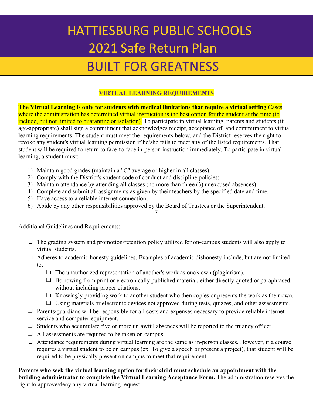### BUILT FOR GREATNESS

#### **VIRTUAL LEARNING REQUIREMENTS**

**The Virtual Learning is only for students with medical limitations that require a virtual setting** Cases where the administration has determined virtual instruction is the best option for the student at the time (to include, but not limited to quarantine or isolation). To participate in virtual learning, parents and students (if age-appropriate) shall sign a commitment that acknowledges receipt, acceptance of, and commitment to virtual learning requirements. The student must meet the requirements below, and the District reserves the right to revoke any student's virtual learning permission if he/she fails to meet any of the listed requirements. That student will be required to return to face-to-face in-person instruction immediately. To participate in virtual learning, a student must:

- 1) Maintain good grades (maintain a "C" average or higher in all classes);
- 2) Comply with the District's student code of conduct and discipline policies;
- 3) Maintain attendance by attending all classes (no more than three (3) unexcused absences).
- 4) Complete and submit all assignments as given by their teachers by the specified date and time;
- 5) Have access to a reliable internet connection;
- 6) Abide by any other responsibilities approved by the Board of Trustees or the Superintendent.

7

Additional Guidelines and Requirements:

- ❏ The grading system and promotion/retention policy utilized for on-campus students will also apply to virtual students.
- ❏ Adheres to academic honesty guidelines. Examples of academic dishonesty include, but are not limited to:
	- ❏ The unauthorized representation of another's work as one's own (plagiarism).
	- ❏ Borrowing from print or electronically published material, either directly quoted or paraphrased, without including proper citations.
	- ❏ Knowingly providing work to another student who then copies or presents the work as their own.
	- ❏ Using materials or electronic devices not approved during tests, quizzes, and other assessments.
- ❏ Parents/guardians will be responsible for all costs and expenses necessary to provide reliable internet service and computer equipment.
- ❏ Students who accumulate five or more unlawful absences will be reported to the truancy officer.
- ❏ All assessments are required to be taken on campus.
- ❏ Attendance requirements during virtual learning are the same as in-person classes. However, if a course requires a virtual student to be on campus (ex. To give a speech or present a project), that student will be required to be physically present on campus to meet that requirement.

**Parents who seek the virtual learning option for their child must schedule an appointment with the building administrator to complete the Virtual Learning Acceptance Form.** The administration reserves the right to approve/deny any virtual learning request.